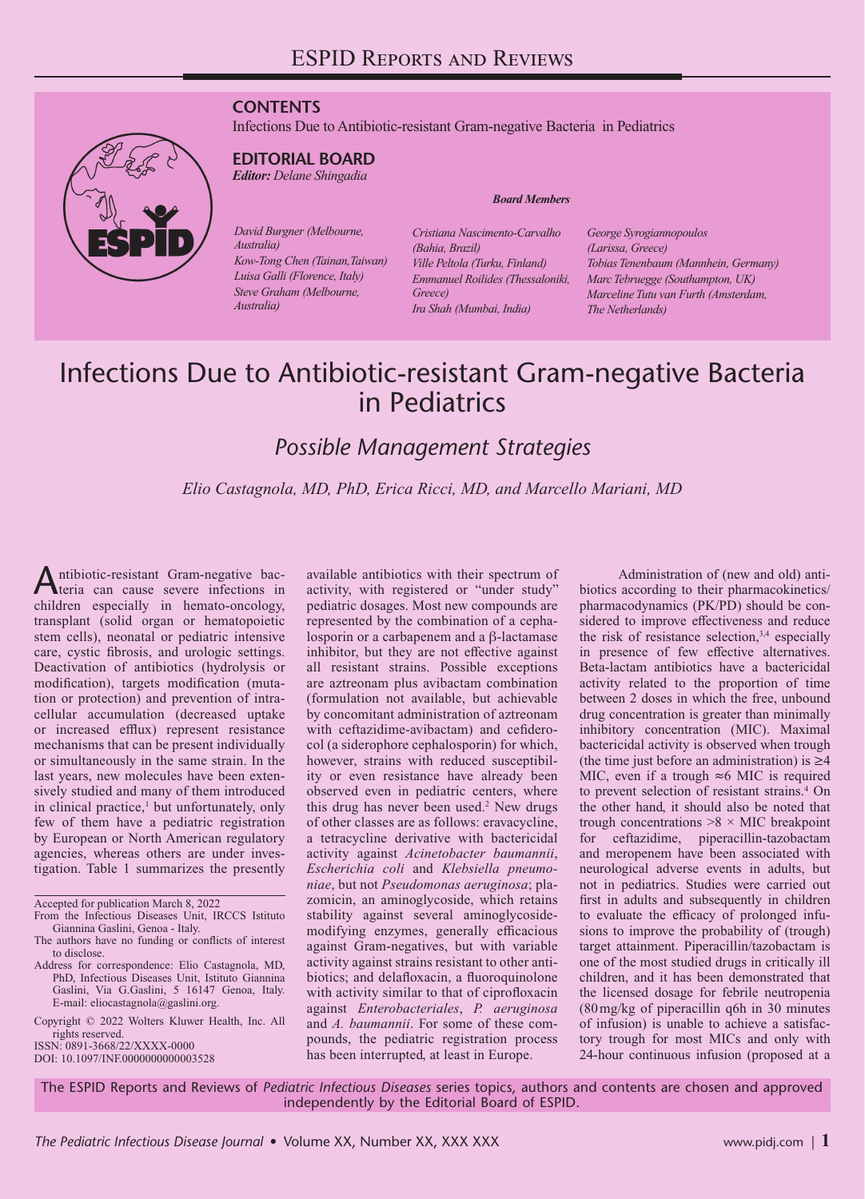### **CONTENTS**

Infections Due to Antibiotic-resistant Gram-negative Bacteria in Pediatrics



## **EDITORIAL BOARD**

*Editor: Delane Shingadia*

*David Burgner (Melbourne, Australia) Kow-Tong Chen (Tainan,Taiwan) Luisa Galli (Florence, Italy) Steve Graham (Melbourne, Australia)*

*Cristiana Nascimento-Carvalho (Bahia, Brazil) Ville Peltola (Turku, Finland) Emmanuel Roilides (Thessaloniki, Greece) Ira Shah (Mumbai, India)*

*Board Members*

*George Syrogiannopoulos (Larissa, Greece) Tobias Tenenbaum (Mannhein, Germany) Marc Tebruegge (Southampton, UK) Marceline Tutu van Furth (Amsterdam, The Netherlands)*

# Infections Due to Antibiotic-resistant Gram-negative Bacteria in Pediatrics

## *Possible Management Strategies*

*Elio Castagnola, MD, PhD, Erica Ricci, MD, and Marcello Mariani, MD*

Antibiotic-resistant Gram-negative bac-<br>teria can cause severe infections in children especially in hemato-oncology, transplant (solid organ or hematopoietic stem cells), neonatal or pediatric intensive care, cystic fibrosis, and urologic settings. Deactivation of antibiotics (hydrolysis or modification), targets modification (mutation or protection) and prevention of intracellular accumulation (decreased uptake or increased efflux) represent resistance mechanisms that can be present individually or simultaneously in the same strain. In the last years, new molecules have been extensively studied and many of them introduced in clinical practice,<sup>1</sup> but unfortunately, only few of them have a pediatric registration by European or North American regulatory agencies, whereas others are under investigation. Table 1 summarizes the presently

Accepted for publication March 8, 2022

Copyright © 2022 Wolters Kluwer Health, Inc. All rights reserved.

ISSN: 0891-3668/22/XXXX-0000

DOI: 10.1097/INF.0000000000003528

available antibiotics with their spectrum of activity, with registered or "under study" pediatric dosages. Most new compounds are represented by the combination of a cephalosporin or a carbapenem and a β-lactamase inhibitor, but they are not effective against all resistant strains. Possible exceptions are aztreonam plus avibactam combination (formulation not available, but achievable by concomitant administration of aztreonam with ceftazidime-avibactam) and cefiderocol (a siderophore cephalosporin) for which, however, strains with reduced susceptibility or even resistance have already been observed even in pediatric centers, where this drug has never been used.<sup>2</sup> New drugs of other classes are as follows: eravacycline, a tetracycline derivative with bactericidal activity against *Acinetobacter baumannii*, *Escherichia coli* and *Klebsiella pneumoniae*, but not *Pseudomonas aeruginosa*; plazomicin, an aminoglycoside, which retains stability against several aminoglycosidemodifying enzymes, generally efficacious against Gram-negatives, but with variable activity against strains resistant to other antibiotics; and delafloxacin, a fluoroquinolone with activity similar to that of ciprofloxacin against *Enterobacteriales*, *P. aeruginosa* and *A. baumannii*. For some of these compounds, the pediatric registration process has been interrupted, at least in Europe.

Administration of (new and old) antibiotics according to their pharmacokinetics/ pharmacodynamics (PK/PD) should be considered to improve effectiveness and reduce the risk of resistance selection,<sup>3,4</sup> especially in presence of few effective alternatives. Beta-lactam antibiotics have a bactericidal activity related to the proportion of time between 2 doses in which the free, unbound drug concentration is greater than minimally inhibitory concentration (MIC). Maximal bactericidal activity is observed when trough (the time just before an administration) is  $\geq 4$ MIC, even if a trough  $\approx$  6 MIC is required to prevent selection of resistant strains.<sup>4</sup> On the other hand, it should also be noted that trough concentrations  $>8 \times$  MIC breakpoint for ceftazidime, piperacillin-tazobactam and meropenem have been associated with neurological adverse events in adults, but not in pediatrics. Studies were carried out first in adults and subsequently in children to evaluate the efficacy of prolonged infusions to improve the probability of (trough) target attainment. Piperacillin/tazobactam is one of the most studied drugs in critically ill children, and it has been demonstrated that the licensed dosage for febrile neutropenia (80mg/kg of piperacillin q6h in 30 minutes of infusion) is unable to achieve a satisfactory trough for most MICs and only with 24-hour continuous infusion (proposed at a

The ESPID Reports and Reviews of *Pediatric Infectious Diseases* series topics, authors and contents are chosen and approved independently by the Editorial Board of ESPID.

From the Infectious Diseases Unit, IRCCS Istituto

Giannina Gaslini, Genoa - Italy. The authors have no funding or conflicts of interest to disclose.

Address for correspondence: Elio Castagnola, MD, PhD, Infectious Diseases Unit, Istituto Giannina Gaslini, Via G.Gaslini, 5 16147 Genoa, Italy. E-mail: [eliocastagnola@gaslini.org.](mailto:eliocastagnola@gaslini.org)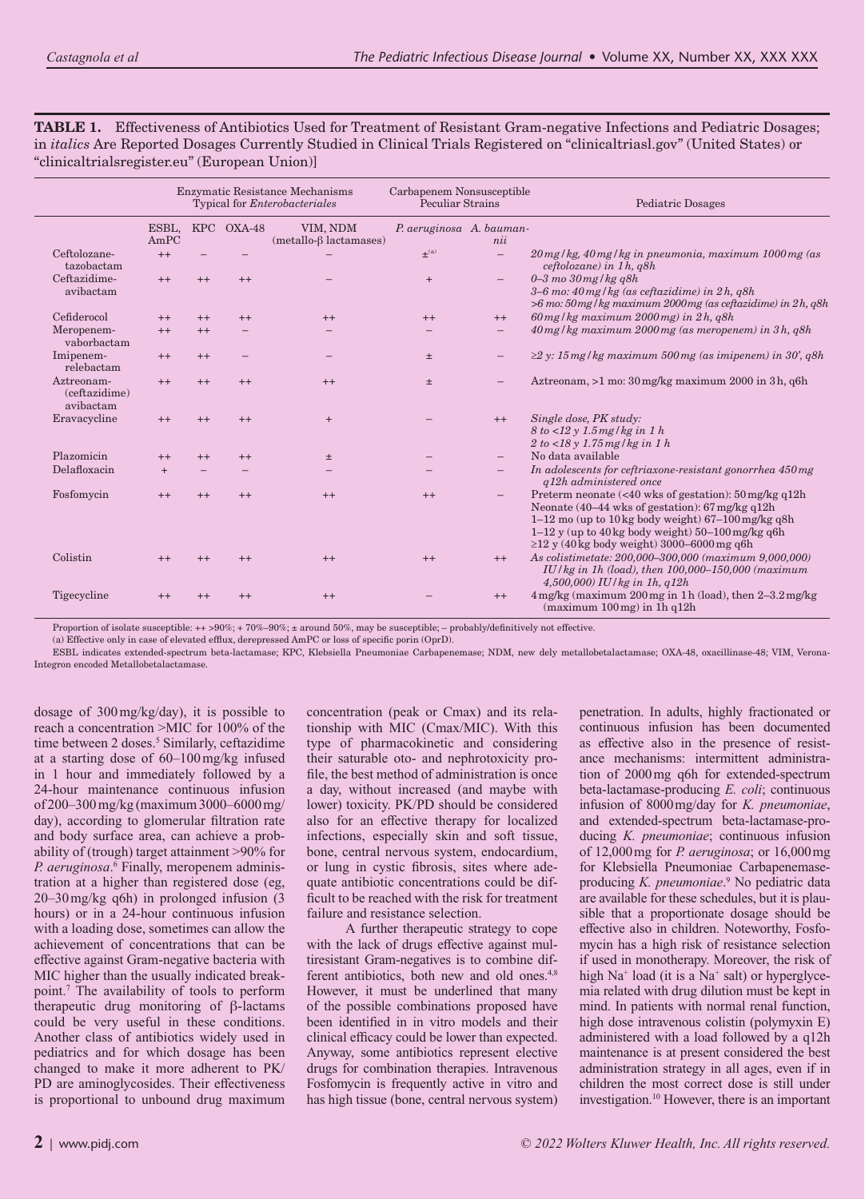**TABLE 1.** Effectiveness of Antibiotics Used for Treatment of Resistant Gram-negative Infections and Pediatric Dosages; in *italics* Are Reported Dosages Currently Studied in Clinical Trials Registered on "clinicaltriasl.gov" (United States) or "clinicaltrialsregister.eu" (European Union)]

|                                          | Enzymatic Resistance Mechanisms<br>Typical for <i>Enterobacteriales</i> |         |            |                                          | Carbapenem Nonsusceptible<br>Peculiar Strains |                          | Pediatric Dosages                                                                                                                                                                                                                                                                                                   |
|------------------------------------------|-------------------------------------------------------------------------|---------|------------|------------------------------------------|-----------------------------------------------|--------------------------|---------------------------------------------------------------------------------------------------------------------------------------------------------------------------------------------------------------------------------------------------------------------------------------------------------------------|
|                                          | ESBL,<br>AmPC                                                           |         | KPC OXA-48 | VIM, NDM<br>$(metallo-\beta lactamases)$ | P. aeruginosa A. bauman-                      | nii                      |                                                                                                                                                                                                                                                                                                                     |
| Ceftolozane-<br>tazobactam               | $++$                                                                    |         |            |                                          | $+$ <sup>(a)</sup>                            |                          | 20 mg/kg, 40 mg/kg in pneumonia, maximum 1000 mg (as<br>$ceftolozane)$ in 1h, q8h                                                                                                                                                                                                                                   |
| Ceftazidime-<br>avibactam                | $++$                                                                    | $^{++}$ | $^{++}$    |                                          | $+$                                           | $\overline{\phantom{m}}$ | $0-3$ mo $30$ mg/kg q8h<br>$3-6$ mo: $40$ mg/kg (as ceftazidime) in $2h$ , q8h<br>$>6$ mo: 50 mg/kg maximum 2000 mg (as ceftazidime) in 2h, q8h                                                                                                                                                                     |
| Cefiderocol                              | $++$                                                                    | $++$    | $++$       | $++$                                     | $++$                                          | $++$                     | $60$ mg/kg maximum $2000$ mg) in $2h$ , q8h                                                                                                                                                                                                                                                                         |
| Meropenem-<br>vaborbactam                | $++$                                                                    | $++$    |            |                                          |                                               | $\qquad \qquad -$        | 40 mg/kg maximum 2000 mg (as meropenem) in 3h, q8h                                                                                                                                                                                                                                                                  |
| Imipenem-<br>relebactam                  | $++$                                                                    | $++$    |            |                                          | $\pm$                                         |                          | $\geq$ 2 y: 15 mg/kg maximum 500 mg (as imipenem) in 30', q8h                                                                                                                                                                                                                                                       |
| Aztreonam-<br>(ceftazidime)<br>avibactam | $++$                                                                    | $^{++}$ | $++$       | $++$                                     | $\pm$                                         |                          | Aztreonam, >1 mo: 30 mg/kg maximum 2000 in 3h, q6h                                                                                                                                                                                                                                                                  |
| Eravacycline                             | $^{++}$                                                                 | $^{++}$ | $^{++}$    | $+$                                      |                                               | $++$                     | Single dose, PK study:<br>8 to < 12 y 1.5 mg/kg in 1 h<br>$2 to < 18$ y 1.75 mg/kg in 1 h                                                                                                                                                                                                                           |
| Plazomicin                               | $^{++}$                                                                 | $++$    | $++$       | $\pm$                                    |                                               |                          | No data available                                                                                                                                                                                                                                                                                                   |
| Delafloxacin                             | $+$                                                                     |         |            |                                          |                                               |                          | In adolescents for ceftriaxone-resistant gonorrhea 450 mg<br>q12h administered once                                                                                                                                                                                                                                 |
| Fosfomycin                               | $++$                                                                    | $++$    | $++$       | $^{++}$                                  | $++$                                          | $\overline{\phantom{m}}$ | Preterm neonate $\left($ <40 wks of gestation): 50 mg/kg q12h<br>Neonate $(40-44 \text{ wks of }$ gestation): $67 \text{ mg/kg}$ q $12h$<br>$1-12$ mo (up to $10$ kg body weight) $67-100$ mg/kg q8h<br>$1-12$ y (up to $40$ kg body weight) $50-100$ mg/kg q6h<br>$\geq$ 12 y (40 kg body weight) 3000–6000 mg q6h |
| Colistin                                 | $^{++}$                                                                 | $^{++}$ | $^{++}$    | $^{++}$                                  | $++$                                          | $^{++}$                  | As colistimetate: 200,000-300,000 (maximum 9,000,000)<br>$IU/kg$ in 1h (load), then 100,000–150,000 (maximum<br>4,500,000) IU/kg in 1h, $q12h$                                                                                                                                                                      |
| Tigecycline                              | $^{++}$                                                                 | $^{++}$ | $++$       | $++$                                     |                                               | $++$                     | 4 mg/kg (maximum 200 mg in 1h (load), then 2-3.2 mg/kg<br>$(\text{maximum } 100 \,\text{mg})$ in 1h q12h                                                                                                                                                                                                            |

Proportion of isolate susceptible: ++ >90%; + 70%–90%; ± around 50%, may be susceptible; – probably/definitively not effective.

(a) Effective only in case of elevated efflux, derepressed AmPC or loss of specific porin (OprD).

ESBL indicates extended-spectrum beta-lactamase; KPC, Klebsiella Pneumoniae Carbapenemase; NDM, new dely metallobetalactamase; OXA-48, oxacillinase-48; VIM, Verona-Integron encoded Metallobetalactamase.

dosage of 300mg/kg/day), it is possible to reach a concentration >MIC for 100% of the time between 2 doses.<sup>5</sup> Similarly, ceftazidime at a starting dose of 60–100mg/kg infused in 1 hour and immediately followed by a 24-hour maintenance continuous infusion of 200–300mg/kg (maximum 3000–6000mg/ day), according to glomerular filtration rate and body surface area, can achieve a probability of (trough) target attainment >90% for P. aeruginosa.<sup>6</sup> Finally, meropenem administration at a higher than registered dose (eg, 20–30mg/kg q6h) in prolonged infusion (3 hours) or in a 24-hour continuous infusion with a loading dose, sometimes can allow the achievement of concentrations that can be effective against Gram-negative bacteria with MIC higher than the usually indicated breakpoint.7 The availability of tools to perform therapeutic drug monitoring of β-lactams could be very useful in these conditions. Another class of antibiotics widely used in pediatrics and for which dosage has been changed to make it more adherent to PK/ PD are aminoglycosides. Their effectiveness is proportional to unbound drug maximum

concentration (peak or Cmax) and its relationship with MIC (Cmax/MIC). With this type of pharmacokinetic and considering their saturable oto- and nephrotoxicity profile, the best method of administration is once a day, without increased (and maybe with lower) toxicity. PK/PD should be considered also for an effective therapy for localized infections, especially skin and soft tissue, bone, central nervous system, endocardium, or lung in cystic fibrosis, sites where adequate antibiotic concentrations could be difficult to be reached with the risk for treatment failure and resistance selection.

A further therapeutic strategy to cope with the lack of drugs effective against multiresistant Gram-negatives is to combine different antibiotics, both new and old ones.<sup>4,8</sup> However, it must be underlined that many of the possible combinations proposed have been identified in in vitro models and their clinical efficacy could be lower than expected. Anyway, some antibiotics represent elective drugs for combination therapies. Intravenous Fosfomycin is frequently active in vitro and has high tissue (bone, central nervous system) penetration. In adults, highly fractionated or continuous infusion has been documented as effective also in the presence of resistance mechanisms: intermittent administration of 2000mg q6h for extended-spectrum beta-lactamase-producing *E. coli*; continuous infusion of 8000mg/day for *K. pneumoniae*, and extended-spectrum beta-lactamase-producing *K. pneumoniae*; continuous infusion of 12,000mg for *P. aeruginosa*; or 16,000mg for Klebsiella Pneumoniae Carbapenemaseproducing *K. pneumoniae*. 9 No pediatric data are available for these schedules, but it is plausible that a proportionate dosage should be effective also in children. Noteworthy, Fosfomycin has a high risk of resistance selection if used in monotherapy. Moreover, the risk of high  $Na<sup>+</sup>$  load (it is a  $Na<sup>+</sup>$  salt) or hyperglycemia related with drug dilution must be kept in mind. In patients with normal renal function, high dose intravenous colistin (polymyxin E) administered with a load followed by a q12h maintenance is at present considered the best administration strategy in all ages, even if in children the most correct dose is still under investigation.10 However, there is an important